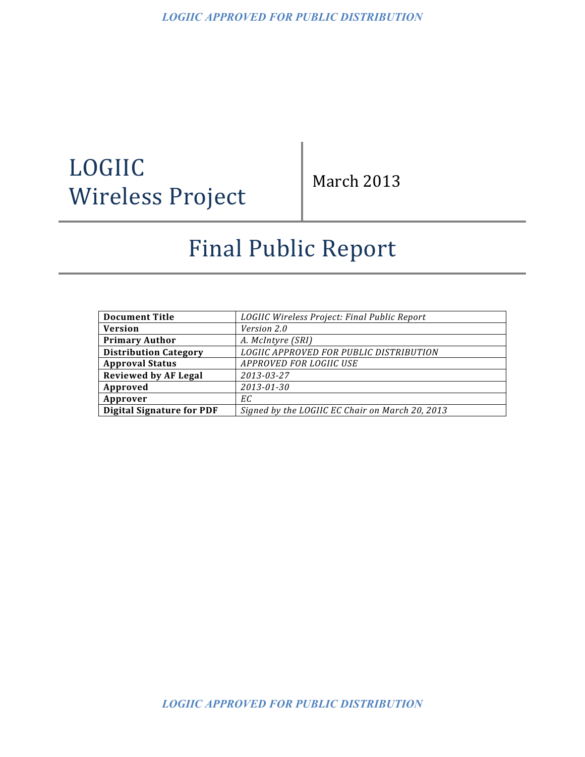# LOGIIC Wireless Project

March 2013

# Final Public Report

| <b>Document Title</b>            | LOGIIC Wireless Project: Final Public Report    |
|----------------------------------|-------------------------------------------------|
| <b>Version</b>                   | Version 2.0                                     |
| <b>Primary Author</b>            | A. McIntyre (SRI)                               |
| <b>Distribution Category</b>     | LOGIIC APPROVED FOR PUBLIC DISTRIBUTION         |
| <b>Approval Status</b>           | APPROVED FOR LOGIIC USE                         |
| <b>Reviewed by AF Legal</b>      | 2013-03-27                                      |
| Approved                         | 2013-01-30                                      |
| Approver                         | ЕC                                              |
| <b>Digital Signature for PDF</b> | Signed by the LOGIIC EC Chair on March 20, 2013 |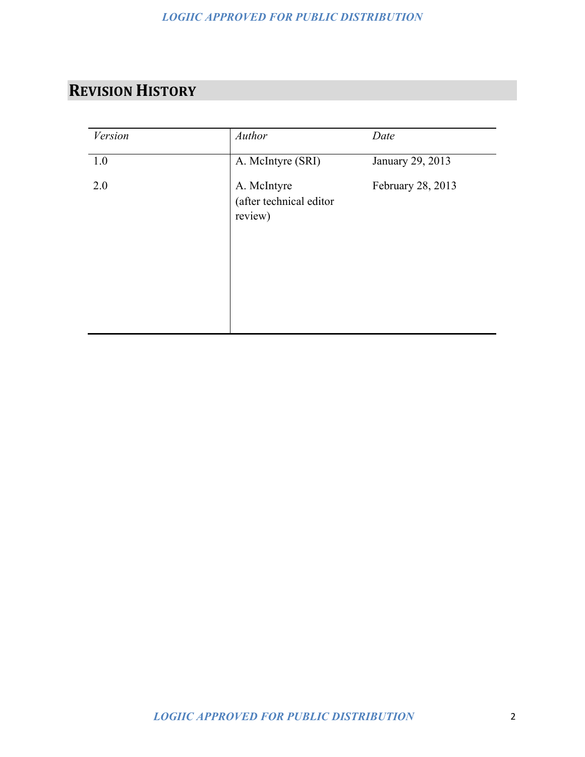# **REVISION HISTORY**

| <b>Version</b> | Author                                            | Date              |
|----------------|---------------------------------------------------|-------------------|
| 1.0            | A. McIntyre (SRI)                                 | January 29, 2013  |
| 2.0            | A. McIntyre<br>(after technical editor<br>review) | February 28, 2013 |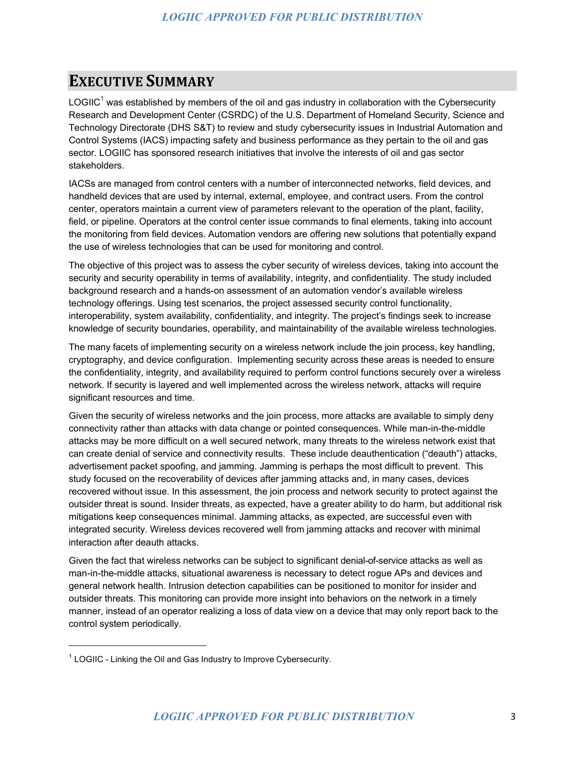### **EXECUTIVE SUMMARY**

LOGIIC<sup>1</sup> was established by members of the oil and gas industry in collaboration with the Cybersecurity Research and Development Center (CSRDC) of the U.S. Department of Homeland Security, Science and Technology Directorate (DHS S&T) to review and study cybersecurity issues in Industrial Automation and Control Systems (IACS) impacting safety and business performance as they pertain to the oil and gas sector. LOGIIC has sponsored research initiatives that involve the interests of oil and gas sector stakeholders.

IACSs are managed from control centers with a number of interconnected networks, field devices, and handheld devices that are used by internal, external, employee, and contract users. From the control center, operators maintain a current view of parameters relevant to the operation of the plant, facility, field, or pipeline. Operators at the control center issue commands to final elements, taking into account the monitoring from field devices. Automation vendors are offering new solutions that potentially expand the use of wireless technologies that can be used for monitoring and control.

The objective of this project was to assess the cyber security of wireless devices, taking into account the security and security operability in terms of availability, integrity, and confidentiality. The study included background research and a hands-on assessment of an automation vendor's available wireless technology offerings. Using test scenarios, the project assessed security control functionality, interoperability, system availability, confidentiality, and integrity. The project's findings seek to increase knowledge of security boundaries, operability, and maintainability of the available wireless technologies.

The many facets of implementing security on a wireless network include the join process, key handling, cryptography, and device configuration. Implementing security across these areas is needed to ensure the confidentiality, integrity, and availability required to perform control functions securely over a wireless network. If security is layered and well implemented across the wireless network, attacks will require significant resources and time.

Given the security of wireless networks and the join process, more attacks are available to simply deny connectivity rather than attacks with data change or pointed consequences. While man-in-the-middle attacks may be more difficult on a well secured network, many threats to the wireless network exist that can create denial of service and connectivity results. These include deauthentication ("deauth") attacks, advertisement packet spoofing, and jamming. Jamming is perhaps the most difficult to prevent. This study focused on the recoverability of devices after jamming attacks and, in many cases, devices recovered without issue. In this assessment, the join process and network security to protect against the outsider threat is sound. Insider threats, as expected, have a greater ability to do harm, but additional risk mitigations keep consequences minimal. Jamming attacks, as expected, are successful even with integrated security. Wireless devices recovered well from jamming attacks and recover with minimal interaction after deauth attacks.

Given the fact that wireless networks can be subject to significant denial-of-service attacks as well as man-in-the-middle attacks, situational awareness is necessary to detect rogue APs and devices and general network health. Intrusion detection capabilities can be positioned to monitor for insider and outsider threats. This monitoring can provide more insight into behaviors on the network in a timely manner, instead of an operator realizing a loss of data view on a device that may only report back to the control system periodically.

<u> 1989 - Johann Stein, fransk politik (d. 1989)</u>

 $1$  LOGIIC - Linking the Oil and Gas Industry to Improve Cybersecurity.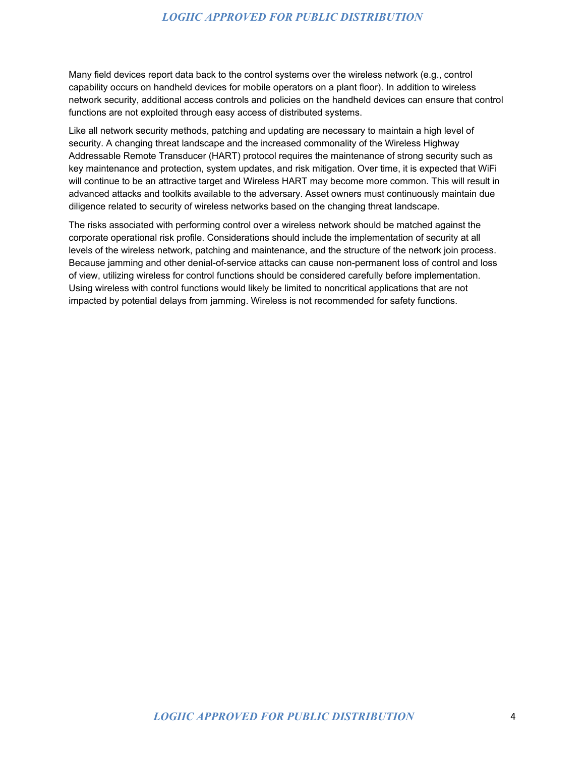Many field devices report data back to the control systems over the wireless network (e.g., control capability occurs on handheld devices for mobile operators on a plant floor). In addition to wireless network security, additional access controls and policies on the handheld devices can ensure that control functions are not exploited through easy access of distributed systems.

Like all network security methods, patching and updating are necessary to maintain a high level of security. A changing threat landscape and the increased commonality of the Wireless Highway Addressable Remote Transducer (HART) protocol requires the maintenance of strong security such as key maintenance and protection, system updates, and risk mitigation. Over time, it is expected that WiFi will continue to be an attractive target and Wireless HART may become more common. This will result in advanced attacks and toolkits available to the adversary. Asset owners must continuously maintain due diligence related to security of wireless networks based on the changing threat landscape.

The risks associated with performing control over a wireless network should be matched against the corporate operational risk profile. Considerations should include the implementation of security at all levels of the wireless network, patching and maintenance, and the structure of the network join process. Because jamming and other denial-of-service attacks can cause non-permanent loss of control and loss of view, utilizing wireless for control functions should be considered carefully before implementation. Using wireless with control functions would likely be limited to noncritical applications that are not impacted by potential delays from jamming. Wireless is not recommended for safety functions.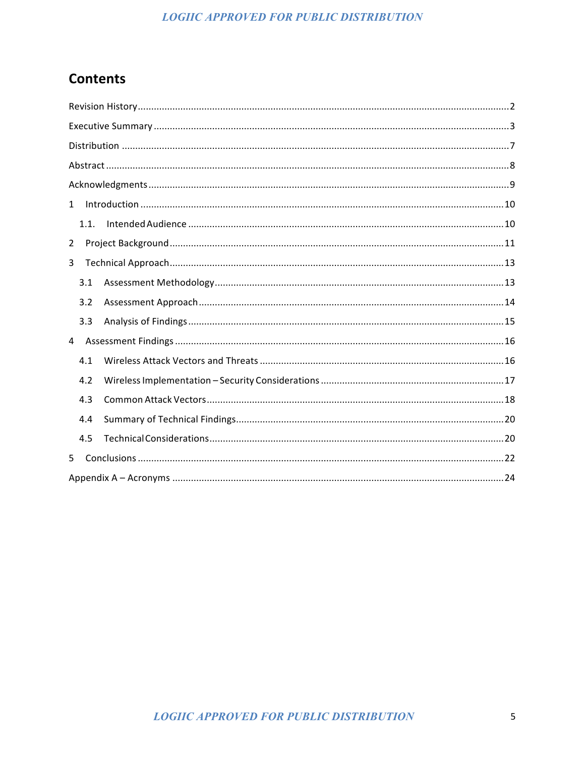### **Contents**

| $\mathbf{1}$ |  |
|--------------|--|
| 1.1.         |  |
| 2            |  |
| 3            |  |
| 3.1          |  |
| 3.2          |  |
| 3.3          |  |
| 4            |  |
| 4.1          |  |
| 4.2          |  |
| 4.3          |  |
| 4.4          |  |
| 4.5          |  |
| 5            |  |
|              |  |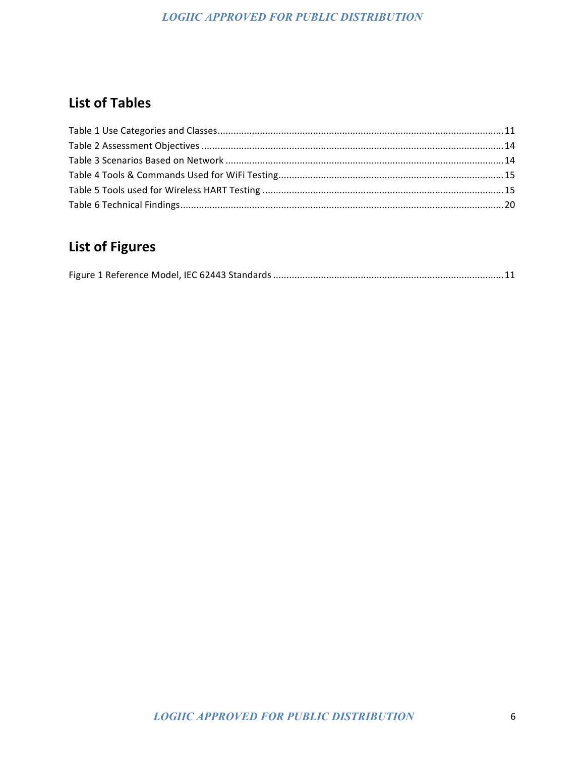### **List of Tables**

# **List of Figures**

|--|--|--|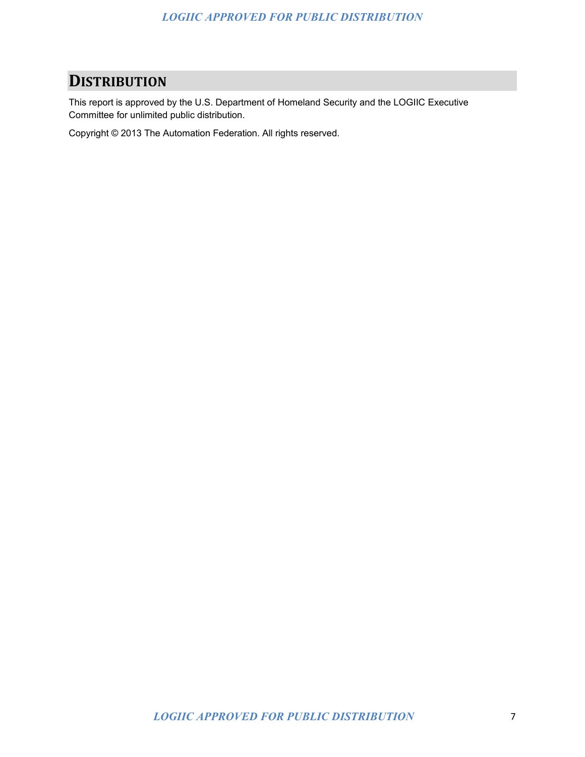## **DISTRIBUTION**

This report is approved by the U.S. Department of Homeland Security and the LOGIIC Executive Committee for unlimited public distribution.

Copyright © 2013 The Automation Federation. All rights reserved.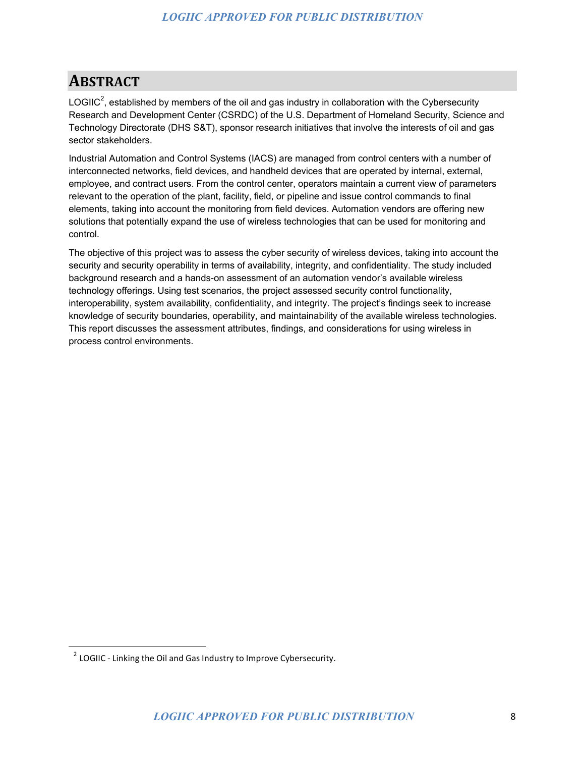# **ABSTRACT**

LOGIIC<sup>2</sup>, established by members of the oil and gas industry in collaboration with the Cybersecurity Research and Development Center (CSRDC) of the U.S. Department of Homeland Security, Science and Technology Directorate (DHS S&T), sponsor research initiatives that involve the interests of oil and gas sector stakeholders.

Industrial Automation and Control Systems (IACS) are managed from control centers with a number of interconnected networks, field devices, and handheld devices that are operated by internal, external, employee, and contract users. From the control center, operators maintain a current view of parameters relevant to the operation of the plant, facility, field, or pipeline and issue control commands to final elements, taking into account the monitoring from field devices. Automation vendors are offering new solutions that potentially expand the use of wireless technologies that can be used for monitoring and control.

The objective of this project was to assess the cyber security of wireless devices, taking into account the security and security operability in terms of availability, integrity, and confidentiality. The study included background research and a hands-on assessment of an automation vendor's available wireless technology offerings. Using test scenarios, the project assessed security control functionality, interoperability, system availability, confidentiality, and integrity. The project's findings seek to increase knowledge of security boundaries, operability, and maintainability of the available wireless technologies. This report discusses the assessment attributes, findings, and considerations for using wireless in process control environments.

 

 $2$  LOGIIC - Linking the Oil and Gas Industry to Improve Cybersecurity.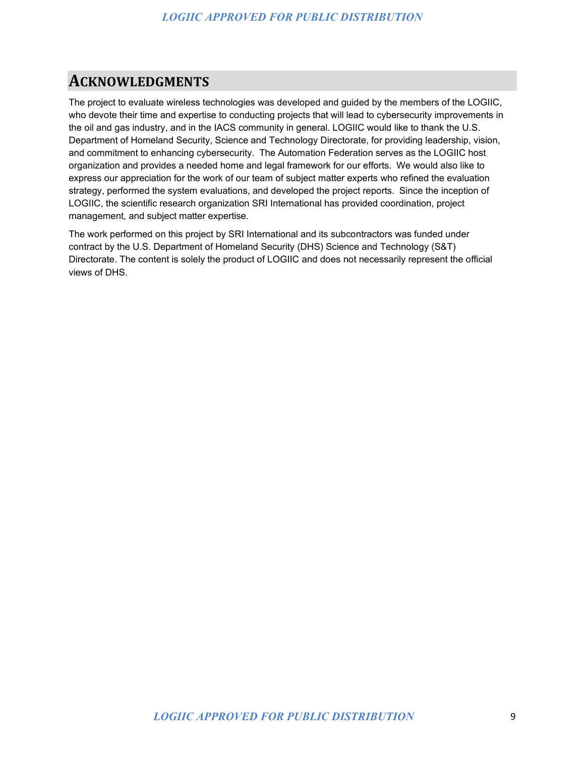### **ACKNOWLEDGMENTS**

The project to evaluate wireless technologies was developed and guided by the members of the LOGIIC, who devote their time and expertise to conducting projects that will lead to cybersecurity improvements in the oil and gas industry, and in the IACS community in general. LOGIIC would like to thank the U.S. Department of Homeland Security, Science and Technology Directorate, for providing leadership, vision, and commitment to enhancing cybersecurity. The Automation Federation serves as the LOGIIC host organization and provides a needed home and legal framework for our efforts. We would also like to express our appreciation for the work of our team of subject matter experts who refined the evaluation strategy, performed the system evaluations, and developed the project reports. Since the inception of LOGIIC, the scientific research organization SRI International has provided coordination, project management, and subject matter expertise.

The work performed on this project by SRI International and its subcontractors was funded under contract by the U.S. Department of Homeland Security (DHS) Science and Technology (S&T) Directorate. The content is solely the product of LOGIIC and does not necessarily represent the official views of DHS.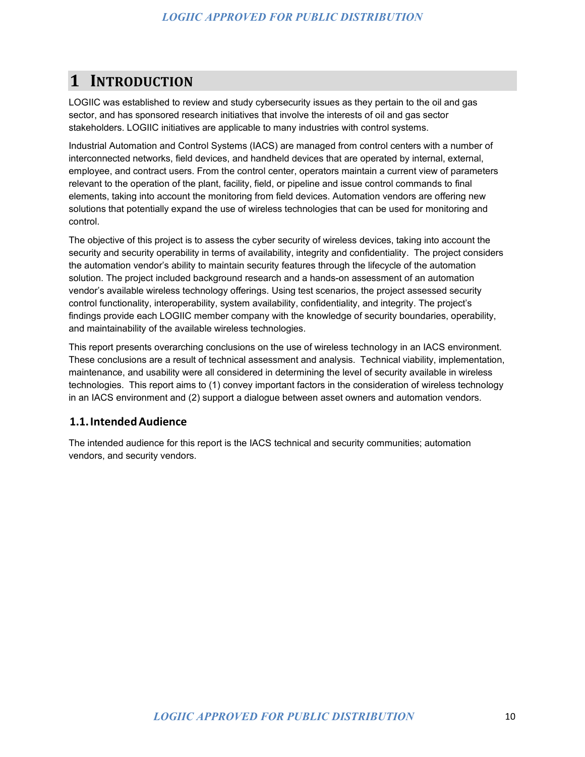# **1 INTRODUCTION**

LOGIIC was established to review and study cybersecurity issues as they pertain to the oil and gas sector, and has sponsored research initiatives that involve the interests of oil and gas sector stakeholders. LOGIIC initiatives are applicable to many industries with control systems.

Industrial Automation and Control Systems (IACS) are managed from control centers with a number of interconnected networks, field devices, and handheld devices that are operated by internal, external, employee, and contract users. From the control center, operators maintain a current view of parameters relevant to the operation of the plant, facility, field, or pipeline and issue control commands to final elements, taking into account the monitoring from field devices. Automation vendors are offering new solutions that potentially expand the use of wireless technologies that can be used for monitoring and control.

The objective of this project is to assess the cyber security of wireless devices, taking into account the security and security operability in terms of availability, integrity and confidentiality. The project considers the automation vendor's ability to maintain security features through the lifecycle of the automation solution. The project included background research and a hands-on assessment of an automation vendor's available wireless technology offerings. Using test scenarios, the project assessed security control functionality, interoperability, system availability, confidentiality, and integrity. The project's findings provide each LOGIIC member company with the knowledge of security boundaries, operability, and maintainability of the available wireless technologies.

This report presents overarching conclusions on the use of wireless technology in an IACS environment. These conclusions are a result of technical assessment and analysis. Technical viability, implementation, maintenance, and usability were all considered in determining the level of security available in wireless technologies. This report aims to (1) convey important factors in the consideration of wireless technology in an IACS environment and (2) support a dialogue between asset owners and automation vendors.

#### **1.1.IntendedAudience**

The intended audience for this report is the IACS technical and security communities; automation vendors, and security vendors.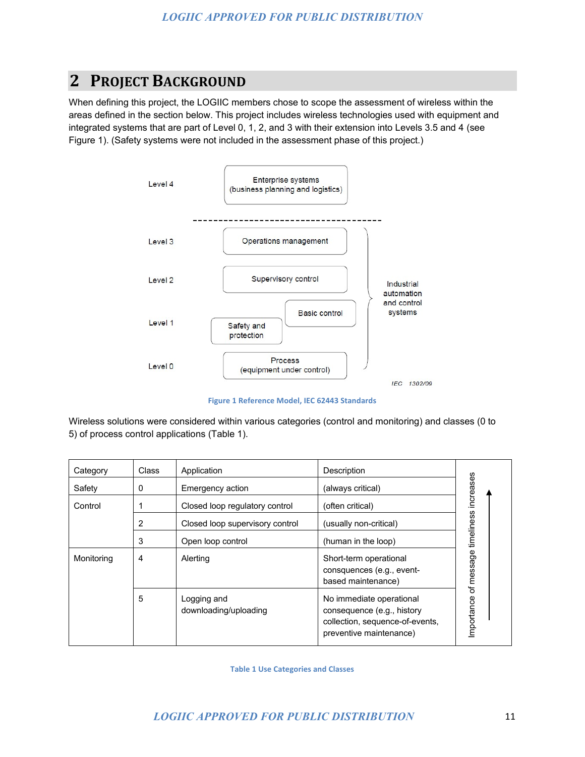# **2 PROJECT BACKGROUND**

When defining this project, the LOGIIC members chose to scope the assessment of wireless within the areas defined in the section below. This project includes wireless technologies used with equipment and integrated systems that are part of Level 0, 1, 2, and 3 with their extension into Levels 3.5 and 4 (see Figure 1). (Safety systems were not included in the assessment phase of this project.)



**Figure 1 Reference Model, IEC 62443 Standards** 

Wireless solutions were considered within various categories (control and monitoring) and classes (0 to 5) of process control applications (Table 1).

| Category   | Class | Application                          | Description                                                                                                          |                                 |
|------------|-------|--------------------------------------|----------------------------------------------------------------------------------------------------------------------|---------------------------------|
| Safety     | 0     | Emergency action                     | (always critical)                                                                                                    |                                 |
| Control    |       | Closed loop regulatory control       | (often critical)                                                                                                     |                                 |
|            | 2     | Closed loop supervisory control      | (usually non-critical)                                                                                               |                                 |
|            | 3     | Open loop control                    | (human in the loop)                                                                                                  |                                 |
| Monitoring | 4     | Alerting                             | Short-term operational<br>consquences (e.g., event-<br>based maintenance)                                            | of message timeliness increases |
|            | 5     | Logging and<br>downloading/uploading | No immediate operational<br>consequence (e.g., history<br>collection, sequence-of-events,<br>preventive maintenance) | Importance                      |

**Table 1 Use Categories and Classes**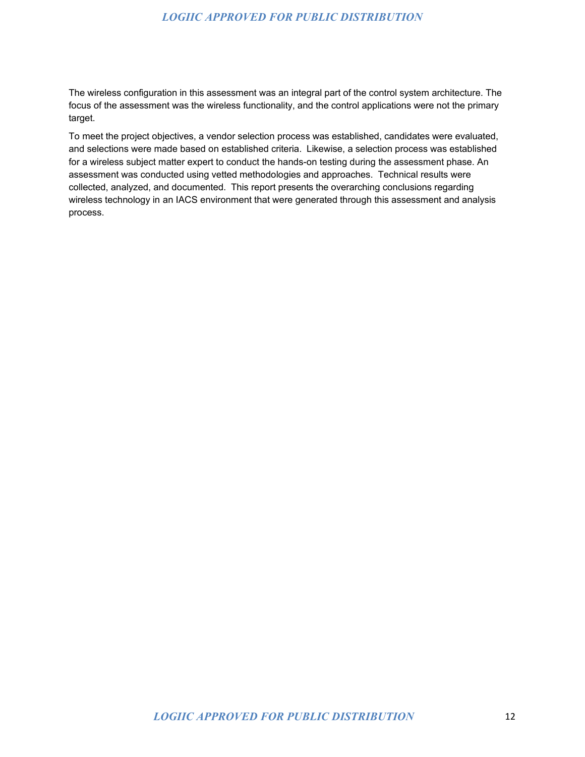The wireless configuration in this assessment was an integral part of the control system architecture. The focus of the assessment was the wireless functionality, and the control applications were not the primary target.

To meet the project objectives, a vendor selection process was established, candidates were evaluated, and selections were made based on established criteria. Likewise, a selection process was established for a wireless subject matter expert to conduct the hands-on testing during the assessment phase. An assessment was conducted using vetted methodologies and approaches. Technical results were collected, analyzed, and documented. This report presents the overarching conclusions regarding wireless technology in an IACS environment that were generated through this assessment and analysis process.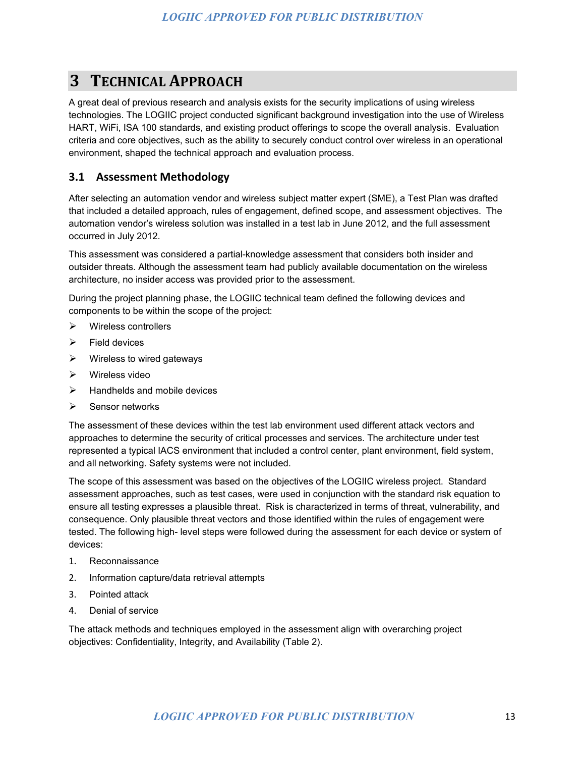# **3 TECHNICAL APPROACH**

A great deal of previous research and analysis exists for the security implications of using wireless technologies. The LOGIIC project conducted significant background investigation into the use of Wireless HART, WiFi, ISA 100 standards, and existing product offerings to scope the overall analysis. Evaluation criteria and core objectives, such as the ability to securely conduct control over wireless in an operational environment, shaped the technical approach and evaluation process.

#### **3.1 Assessment Methodology**

After selecting an automation vendor and wireless subject matter expert (SME), a Test Plan was drafted that included a detailed approach, rules of engagement, defined scope, and assessment objectives. The automation vendor's wireless solution was installed in a test lab in June 2012, and the full assessment occurred in July 2012.

This assessment was considered a partial-knowledge assessment that considers both insider and outsider threats. Although the assessment team had publicly available documentation on the wireless architecture, no insider access was provided prior to the assessment.

During the project planning phase, the LOGIIC technical team defined the following devices and components to be within the scope of the project:

- $\triangleright$  Wireless controllers
- $\triangleright$  Field devices
- $\triangleright$  Wireless to wired gateways
- Wireless video
- $\triangleright$  Handhelds and mobile devices
- $\triangleright$  Sensor networks

The assessment of these devices within the test lab environment used different attack vectors and approaches to determine the security of critical processes and services. The architecture under test represented a typical IACS environment that included a control center, plant environment, field system, and all networking. Safety systems were not included.

The scope of this assessment was based on the objectives of the LOGIIC wireless project. Standard assessment approaches, such as test cases, were used in conjunction with the standard risk equation to ensure all testing expresses a plausible threat. Risk is characterized in terms of threat, vulnerability, and consequence. Only plausible threat vectors and those identified within the rules of engagement were tested. The following high- level steps were followed during the assessment for each device or system of devices:

- 1. Reconnaissance
- 2. Information capture/data retrieval attempts
- 3. Pointed attack
- 4. Denial of service

The attack methods and techniques employed in the assessment align with overarching project objectives: Confidentiality, Integrity, and Availability (Table 2).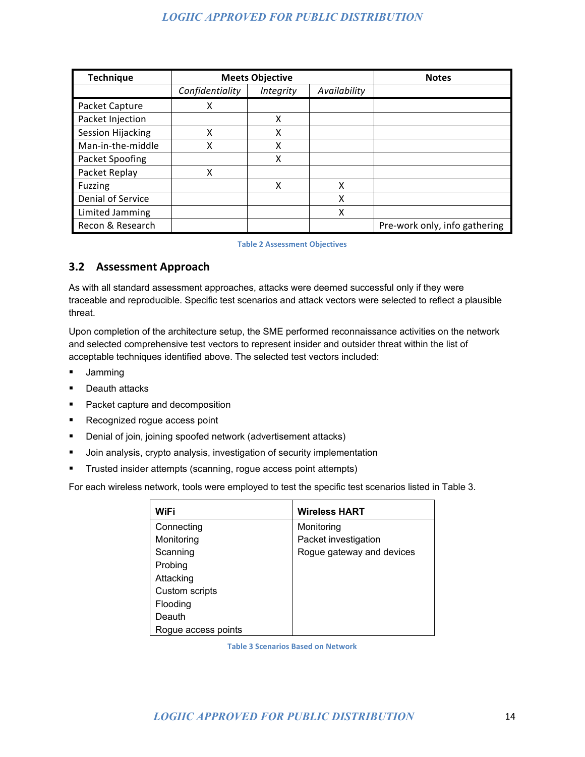| <b>Technique</b>  | <b>Meets Objective</b> |                  |              | <b>Notes</b>                  |
|-------------------|------------------------|------------------|--------------|-------------------------------|
|                   | Confidentiality        | <b>Integrity</b> | Availability |                               |
| Packet Capture    | х                      |                  |              |                               |
| Packet Injection  |                        | X                |              |                               |
| Session Hijacking | x                      | x                |              |                               |
| Man-in-the-middle | χ                      | x                |              |                               |
| Packet Spoofing   |                        | x                |              |                               |
| Packet Replay     | χ                      |                  |              |                               |
| <b>Fuzzing</b>    |                        | x                | x            |                               |
| Denial of Service |                        |                  | x            |                               |
| Limited Jamming   |                        |                  | x            |                               |
| Recon & Research  |                        |                  |              | Pre-work only, info gathering |

#### **Table 2 Assessment Objectives**

#### **3.2 Assessment Approach**

As with all standard assessment approaches, attacks were deemed successful only if they were traceable and reproducible. Specific test scenarios and attack vectors were selected to reflect a plausible threat.

Upon completion of the architecture setup, the SME performed reconnaissance activities on the network and selected comprehensive test vectors to represent insider and outsider threat within the list of acceptable techniques identified above. The selected test vectors included:

- **Jamming**
- **•** Deauth attacks
- **Packet capture and decomposition**
- **Recognized rogue access point**
- **•** Denial of join, joining spoofed network (advertisement attacks)
- Join analysis, crypto analysis, investigation of security implementation
- Trusted insider attempts (scanning, rogue access point attempts)

For each wireless network, tools were employed to test the specific test scenarios listed in Table 3.

| WiFi                | <b>Wireless HART</b>      |
|---------------------|---------------------------|
| Connecting          | Monitoring                |
| Monitoring          | Packet investigation      |
| Scanning            | Rogue gateway and devices |
| Probing             |                           |
| Attacking           |                           |
| Custom scripts      |                           |
| Flooding            |                           |
| Deauth              |                           |
| Rogue access points |                           |

**Table 3 Scenarios Based on Network**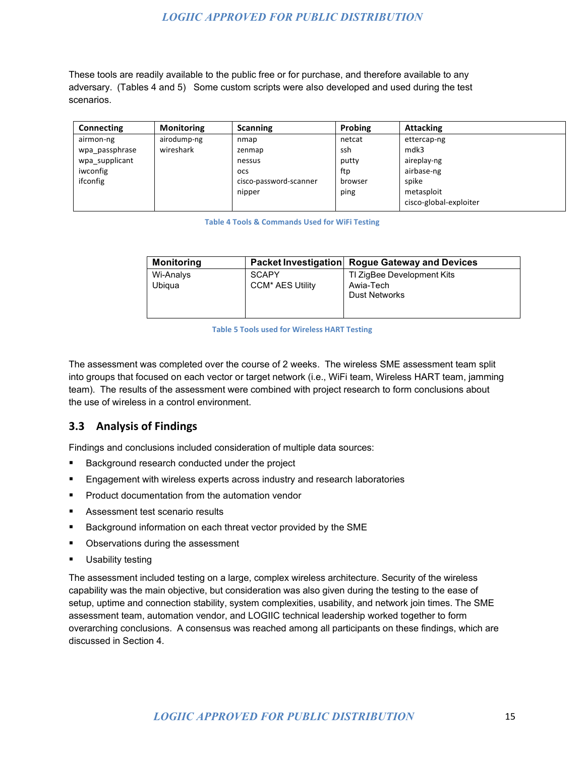These tools are readily available to the public free or for purchase, and therefore available to any adversary. (Tables 4 and 5) Some custom scripts were also developed and used during the test scenarios.

| <b>Connecting</b> | <b>Monitoring</b> | <b>Scanning</b>        | <b>Probing</b> | <b>Attacking</b>       |
|-------------------|-------------------|------------------------|----------------|------------------------|
| airmon-ng         | airodump-ng       | nmap                   | netcat         | ettercap-ng            |
| wpa passphrase    | wireshark         | zenmap                 | ssh            | mdk3                   |
| wpa supplicant    |                   | nessus                 | putty          | aireplay-ng            |
| iwconfig          |                   | <b>OCS</b>             | ftp            | airbase-ng             |
| ifconfig          |                   | cisco-password-scanner | browser        | spike                  |
|                   |                   | nipper                 | ping           | metasploit             |
|                   |                   |                        |                | cisco-global-exploiter |

**Table 4 Tools & Commands Used for WiFi Testing**

| <b>Monitoring</b> |                         | Packet Investigation Rogue Gateway and Devices |
|-------------------|-------------------------|------------------------------------------------|
| Wi-Analys         | <b>SCAPY</b>            | TI ZigBee Development Kits                     |
| Ubiqua            | <b>CCM* AES Utility</b> | Awia-Tech                                      |
|                   |                         | <b>Dust Networks</b>                           |
|                   |                         |                                                |

**Table 5 Tools used for Wireless HART Testing** 

The assessment was completed over the course of 2 weeks. The wireless SME assessment team split into groups that focused on each vector or target network (i.e., WiFi team, Wireless HART team, jamming team). The results of the assessment were combined with project research to form conclusions about the use of wireless in a control environment.

#### **3.3 Analysis of Findings**

Findings and conclusions included consideration of multiple data sources:

- **Background research conducted under the project**
- **Engagement with wireless experts across industry and research laboratories**
- **Product documentation from the automation vendor**
- **Assessment test scenario results**
- **Background information on each threat vector provided by the SME**
- Observations during the assessment
- Usability testing

The assessment included testing on a large, complex wireless architecture. Security of the wireless capability was the main objective, but consideration was also given during the testing to the ease of setup, uptime and connection stability, system complexities, usability, and network join times. The SME assessment team, automation vendor, and LOGIIC technical leadership worked together to form overarching conclusions. A consensus was reached among all participants on these findings, which are discussed in Section 4.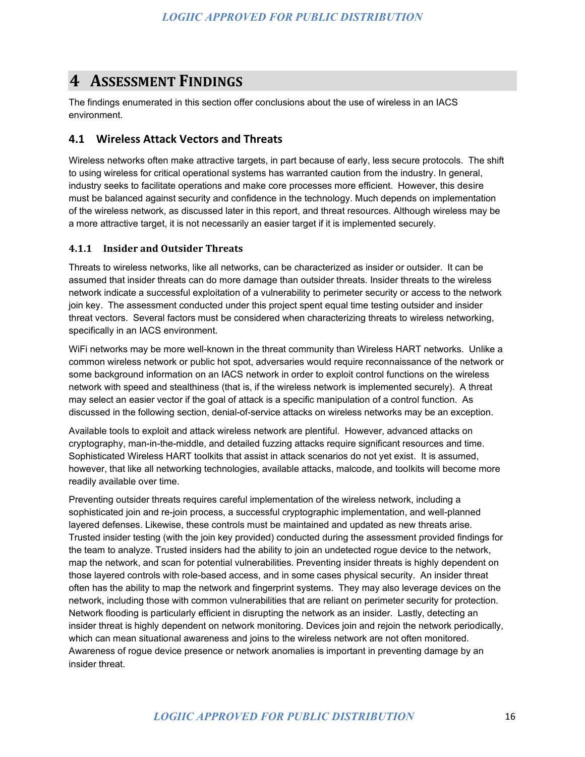### **4 ASSESSMENT FINDINGS**

The findings enumerated in this section offer conclusions about the use of wireless in an IACS environment.

#### **4.1 Wireless Attack Vectors and Threats**

Wireless networks often make attractive targets, in part because of early, less secure protocols. The shift to using wireless for critical operational systems has warranted caution from the industry. In general, industry seeks to facilitate operations and make core processes more efficient. However, this desire must be balanced against security and confidence in the technology. Much depends on implementation of the wireless network, as discussed later in this report, and threat resources. Although wireless may be a more attractive target, it is not necessarily an easier target if it is implemented securely.

#### **4.1.1 Insider and Outsider Threats**

Threats to wireless networks, like all networks, can be characterized as insider or outsider. It can be assumed that insider threats can do more damage than outsider threats. Insider threats to the wireless network indicate a successful exploitation of a vulnerability to perimeter security or access to the network join key. The assessment conducted under this project spent equal time testing outsider and insider threat vectors. Several factors must be considered when characterizing threats to wireless networking, specifically in an IACS environment.

WiFi networks may be more well-known in the threat community than Wireless HART networks. Unlike a common wireless network or public hot spot, adversaries would require reconnaissance of the network or some background information on an IACS network in order to exploit control functions on the wireless network with speed and stealthiness (that is, if the wireless network is implemented securely). A threat may select an easier vector if the goal of attack is a specific manipulation of a control function. As discussed in the following section, denial-of-service attacks on wireless networks may be an exception.

Available tools to exploit and attack wireless network are plentiful. However, advanced attacks on cryptography, man-in-the-middle, and detailed fuzzing attacks require significant resources and time. Sophisticated Wireless HART toolkits that assist in attack scenarios do not yet exist. It is assumed, however, that like all networking technologies, available attacks, malcode, and toolkits will become more readily available over time.

Preventing outsider threats requires careful implementation of the wireless network, including a sophisticated join and re-join process, a successful cryptographic implementation, and well-planned layered defenses. Likewise, these controls must be maintained and updated as new threats arise. Trusted insider testing (with the join key provided) conducted during the assessment provided findings for the team to analyze. Trusted insiders had the ability to join an undetected rogue device to the network, map the network, and scan for potential vulnerabilities. Preventing insider threats is highly dependent on those layered controls with role-based access, and in some cases physical security. An insider threat often has the ability to map the network and fingerprint systems. They may also leverage devices on the network, including those with common vulnerabilities that are reliant on perimeter security for protection. Network flooding is particularly efficient in disrupting the network as an insider. Lastly, detecting an insider threat is highly dependent on network monitoring. Devices join and rejoin the network periodically, which can mean situational awareness and joins to the wireless network are not often monitored. Awareness of rogue device presence or network anomalies is important in preventing damage by an insider threat.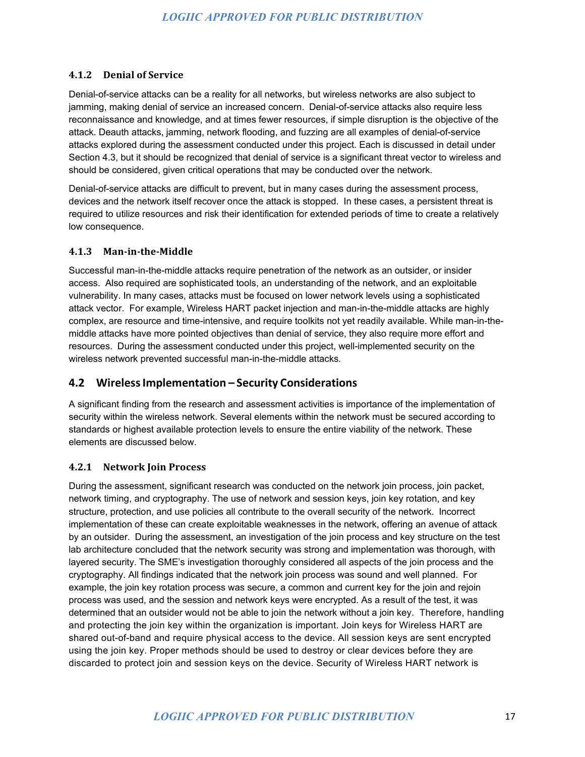#### **4.1.2 Denial of Service**

Denial-of-service attacks can be a reality for all networks, but wireless networks are also subject to jamming, making denial of service an increased concern. Denial-of-service attacks also require less reconnaissance and knowledge, and at times fewer resources, if simple disruption is the objective of the attack. Deauth attacks, jamming, network flooding, and fuzzing are all examples of denial-of-service attacks explored during the assessment conducted under this project. Each is discussed in detail under Section 4.3, but it should be recognized that denial of service is a significant threat vector to wireless and should be considered, given critical operations that may be conducted over the network.

Denial-of-service attacks are difficult to prevent, but in many cases during the assessment process, devices and the network itself recover once the attack is stopped. In these cases, a persistent threat is required to utilize resources and risk their identification for extended periods of time to create a relatively low consequence.

#### **4.1.3 Man-in-the-Middle**

Successful man-in-the-middle attacks require penetration of the network as an outsider, or insider access. Also required are sophisticated tools, an understanding of the network, and an exploitable vulnerability. In many cases, attacks must be focused on lower network levels using a sophisticated attack vector. For example, Wireless HART packet injection and man-in-the-middle attacks are highly complex, are resource and time-intensive, and require toolkits not yet readily available. While man-in-themiddle attacks have more pointed objectives than denial of service, they also require more effort and resources. During the assessment conducted under this project, well-implemented security on the wireless network prevented successful man-in-the-middle attacks.

#### **4.2 WirelessImplementation – Security Considerations**

A significant finding from the research and assessment activities is importance of the implementation of security within the wireless network. Several elements within the network must be secured according to standards or highest available protection levels to ensure the entire viability of the network. These elements are discussed below.

#### **4.2.1 Network Join Process**

During the assessment, significant research was conducted on the network join process, join packet, network timing, and cryptography. The use of network and session keys, join key rotation, and key structure, protection, and use policies all contribute to the overall security of the network. Incorrect implementation of these can create exploitable weaknesses in the network, offering an avenue of attack by an outsider. During the assessment, an investigation of the join process and key structure on the test lab architecture concluded that the network security was strong and implementation was thorough, with layered security. The SME's investigation thoroughly considered all aspects of the join process and the cryptography. All findings indicated that the network join process was sound and well planned. For example, the join key rotation process was secure, a common and current key for the join and rejoin process was used, and the session and network keys were encrypted. As a result of the test, it was determined that an outsider would not be able to join the network without a join key. Therefore, handling and protecting the join key within the organization is important. Join keys for Wireless HART are shared out-of-band and require physical access to the device. All session keys are sent encrypted using the join key. Proper methods should be used to destroy or clear devices before they are discarded to protect join and session keys on the device. Security of Wireless HART network is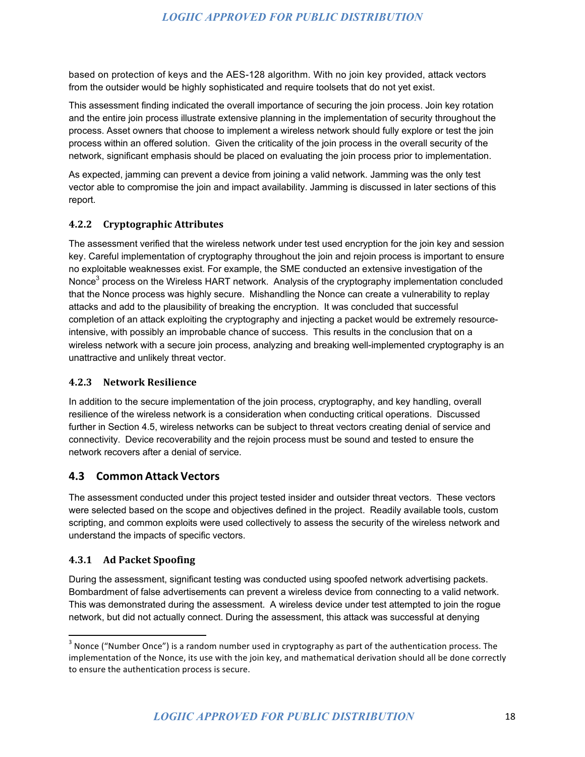based on protection of keys and the AES-128 algorithm. With no join key provided, attack vectors from the outsider would be highly sophisticated and require toolsets that do not yet exist.

This assessment finding indicated the overall importance of securing the join process. Join key rotation and the entire join process illustrate extensive planning in the implementation of security throughout the process. Asset owners that choose to implement a wireless network should fully explore or test the join process within an offered solution. Given the criticality of the join process in the overall security of the network, significant emphasis should be placed on evaluating the join process prior to implementation.

As expected, jamming can prevent a device from joining a valid network. Jamming was the only test vector able to compromise the join and impact availability. Jamming is discussed in later sections of this report.

#### **4.2.2 Cryptographic Attributes**

The assessment verified that the wireless network under test used encryption for the join key and session key. Careful implementation of cryptography throughout the join and rejoin process is important to ensure no exploitable weaknesses exist. For example, the SME conducted an extensive investigation of the Nonce<sup>3</sup> process on the Wireless HART network. Analysis of the cryptography implementation concluded that the Nonce process was highly secure. Mishandling the Nonce can create a vulnerability to replay attacks and add to the plausibility of breaking the encryption. It was concluded that successful completion of an attack exploiting the cryptography and injecting a packet would be extremely resourceintensive, with possibly an improbable chance of success. This results in the conclusion that on a wireless network with a secure join process, analyzing and breaking well-implemented cryptography is an unattractive and unlikely threat vector.

#### **4.2.3 Network Resilience**

In addition to the secure implementation of the join process, cryptography, and key handling, overall resilience of the wireless network is a consideration when conducting critical operations. Discussed further in Section 4.5, wireless networks can be subject to threat vectors creating denial of service and connectivity. Device recoverability and the rejoin process must be sound and tested to ensure the network recovers after a denial of service.

#### **4.3 Common Attack Vectors**

The assessment conducted under this project tested insider and outsider threat vectors. These vectors were selected based on the scope and objectives defined in the project. Readily available tools, custom scripting, and common exploits were used collectively to assess the security of the wireless network and understand the impacts of specific vectors.

#### **4.3.1 Ad Packet Spoofing**

During the assessment, significant testing was conducted using spoofed network advertising packets. Bombardment of false advertisements can prevent a wireless device from connecting to a valid network. This was demonstrated during the assessment. A wireless device under test attempted to join the rogue network, but did not actually connect. During the assessment, this attack was successful at denying

 $3$  Nonce ("Number Once") is a random number used in cryptography as part of the authentication process. The implementation of the Nonce, its use with the join key, and mathematical derivation should all be done correctly to ensure the authentication process is secure.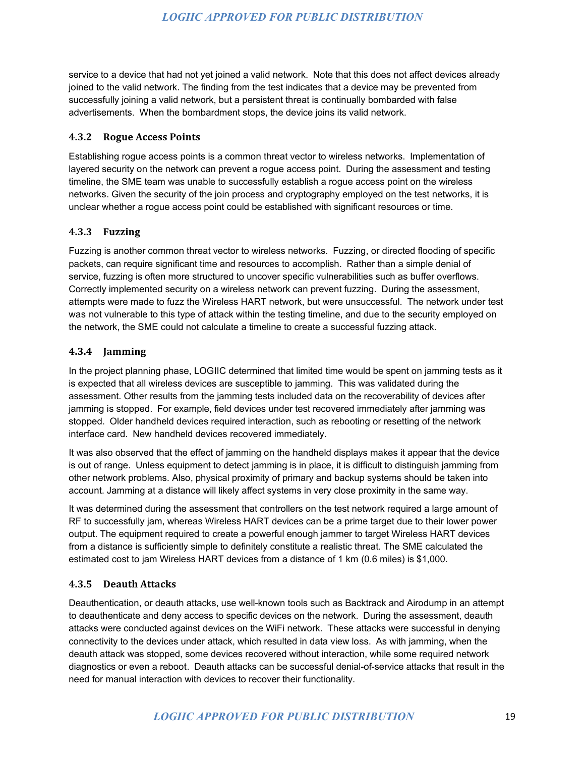service to a device that had not yet joined a valid network. Note that this does not affect devices already joined to the valid network. The finding from the test indicates that a device may be prevented from successfully joining a valid network, but a persistent threat is continually bombarded with false advertisements. When the bombardment stops, the device joins its valid network.

#### **4.3.2 Rogue Access Points**

Establishing rogue access points is a common threat vector to wireless networks. Implementation of layered security on the network can prevent a rogue access point. During the assessment and testing timeline, the SME team was unable to successfully establish a rogue access point on the wireless networks. Given the security of the join process and cryptography employed on the test networks, it is unclear whether a rogue access point could be established with significant resources or time.

#### **4.3.3 Fuzzing**

Fuzzing is another common threat vector to wireless networks. Fuzzing, or directed flooding of specific packets, can require significant time and resources to accomplish. Rather than a simple denial of service, fuzzing is often more structured to uncover specific vulnerabilities such as buffer overflows. Correctly implemented security on a wireless network can prevent fuzzing. During the assessment, attempts were made to fuzz the Wireless HART network, but were unsuccessful. The network under test was not vulnerable to this type of attack within the testing timeline, and due to the security employed on the network, the SME could not calculate a timeline to create a successful fuzzing attack.

#### **4.3.4 Jamming**

In the project planning phase, LOGIIC determined that limited time would be spent on jamming tests as it is expected that all wireless devices are susceptible to jamming. This was validated during the assessment. Other results from the jamming tests included data on the recoverability of devices after jamming is stopped. For example, field devices under test recovered immediately after jamming was stopped. Older handheld devices required interaction, such as rebooting or resetting of the network interface card. New handheld devices recovered immediately.

It was also observed that the effect of jamming on the handheld displays makes it appear that the device is out of range. Unless equipment to detect jamming is in place, it is difficult to distinguish jamming from other network problems. Also, physical proximity of primary and backup systems should be taken into account. Jamming at a distance will likely affect systems in very close proximity in the same way.

It was determined during the assessment that controllers on the test network required a large amount of RF to successfully jam, whereas Wireless HART devices can be a prime target due to their lower power output. The equipment required to create a powerful enough jammer to target Wireless HART devices from a distance is sufficiently simple to definitely constitute a realistic threat. The SME calculated the estimated cost to jam Wireless HART devices from a distance of 1 km (0.6 miles) is \$1,000.

#### **4.3.5 Deauth Attacks**

Deauthentication, or deauth attacks, use well-known tools such as Backtrack and Airodump in an attempt to deauthenticate and deny access to specific devices on the network. During the assessment, deauth attacks were conducted against devices on the WiFi network. These attacks were successful in denying connectivity to the devices under attack, which resulted in data view loss. As with jamming, when the deauth attack was stopped, some devices recovered without interaction, while some required network diagnostics or even a reboot. Deauth attacks can be successful denial-of-service attacks that result in the need for manual interaction with devices to recover their functionality.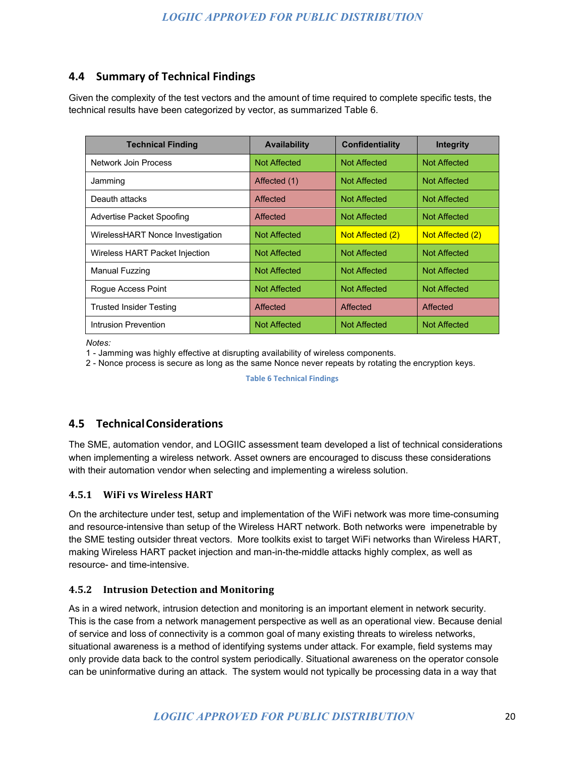#### **4.4 Summary of Technical Findings**

Given the complexity of the test vectors and the amount of time required to complete specific tests, the technical results have been categorized by vector, as summarized Table 6.

| <b>Technical Finding</b>         | <b>Availability</b> | <b>Confidentiality</b> | Integrity        |
|----------------------------------|---------------------|------------------------|------------------|
| Network Join Process             | <b>Not Affected</b> | Not Affected           | Not Affected     |
| Jamming                          | Affected (1)        | <b>Not Affected</b>    | Not Affected     |
| Deauth attacks                   | Affected            | <b>Not Affected</b>    | Not Affected     |
| Advertise Packet Spoofing        | Affected            | <b>Not Affected</b>    | Not Affected     |
| WirelessHART Nonce Investigation | <b>Not Affected</b> | Not Affected (2)       | Not Affected (2) |
| Wireless HART Packet Injection   | <b>Not Affected</b> | Not Affected           | Not Affected     |
| Manual Fuzzing                   | <b>Not Affected</b> | Not Affected           | Not Affected     |
| Roque Access Point               | <b>Not Affected</b> | <b>Not Affected</b>    | Not Affected     |
| Trusted Insider Testing          | Affected            | Affected               | Affected         |
| Intrusion Prevention             | <b>Not Affected</b> | <b>Not Affected</b>    | Not Affected     |

*Notes:*

1 - Jamming was highly effective at disrupting availability of wireless components.

2 - Nonce process is secure as long as the same Nonce never repeats by rotating the encryption keys.

**Table 6 Technical Findings** 

#### **4.5 TechnicalConsiderations**

The SME, automation vendor, and LOGIIC assessment team developed a list of technical considerations when implementing a wireless network. Asset owners are encouraged to discuss these considerations with their automation vendor when selecting and implementing a wireless solution.

#### **4.5.1 WiFi vs Wireless HART**

On the architecture under test, setup and implementation of the WiFi network was more time-consuming and resource-intensive than setup of the Wireless HART network. Both networks were impenetrable by the SME testing outsider threat vectors. More toolkits exist to target WiFi networks than Wireless HART, making Wireless HART packet injection and man-in-the-middle attacks highly complex, as well as resource- and time-intensive.

#### **4.5.2 Intrusion Detection and Monitoring**

As in a wired network, intrusion detection and monitoring is an important element in network security. This is the case from a network management perspective as well as an operational view. Because denial of service and loss of connectivity is a common goal of many existing threats to wireless networks, situational awareness is a method of identifying systems under attack. For example, field systems may only provide data back to the control system periodically. Situational awareness on the operator console can be uninformative during an attack. The system would not typically be processing data in a way that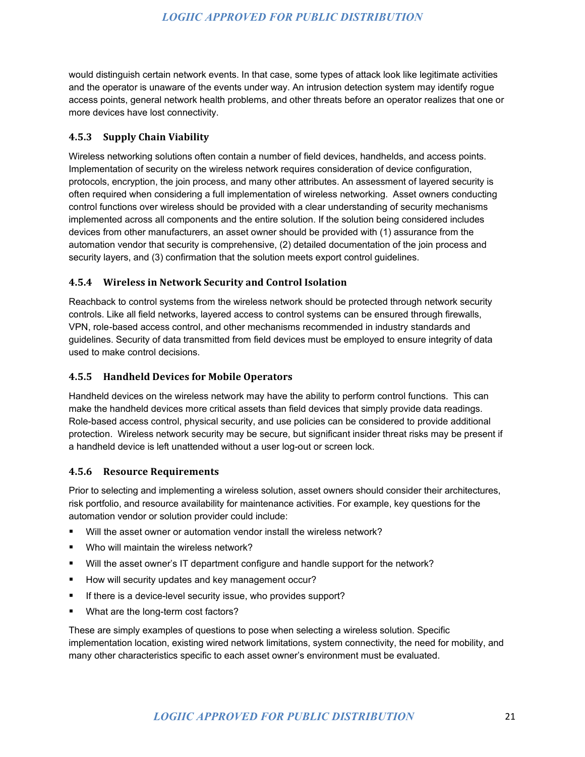would distinguish certain network events. In that case, some types of attack look like legitimate activities and the operator is unaware of the events under way. An intrusion detection system may identify rogue access points, general network health problems, and other threats before an operator realizes that one or more devices have lost connectivity.

#### **4.5.3 Supply Chain Viability**

Wireless networking solutions often contain a number of field devices, handhelds, and access points. Implementation of security on the wireless network requires consideration of device configuration, protocols, encryption, the join process, and many other attributes. An assessment of layered security is often required when considering a full implementation of wireless networking. Asset owners conducting control functions over wireless should be provided with a clear understanding of security mechanisms implemented across all components and the entire solution. If the solution being considered includes devices from other manufacturers, an asset owner should be provided with (1) assurance from the automation vendor that security is comprehensive, (2) detailed documentation of the join process and security layers, and (3) confirmation that the solution meets export control guidelines.

#### **4.5.4 Wireless in Network Security and Control Isolation**

Reachback to control systems from the wireless network should be protected through network security controls. Like all field networks, layered access to control systems can be ensured through firewalls, VPN, role-based access control, and other mechanisms recommended in industry standards and guidelines. Security of data transmitted from field devices must be employed to ensure integrity of data used to make control decisions.

#### **4.5.5 Handheld Devices for Mobile Operators**

Handheld devices on the wireless network may have the ability to perform control functions. This can make the handheld devices more critical assets than field devices that simply provide data readings. Role-based access control, physical security, and use policies can be considered to provide additional protection. Wireless network security may be secure, but significant insider threat risks may be present if a handheld device is left unattended without a user log-out or screen lock.

#### **4.5.6 Resource Requirements**

Prior to selecting and implementing a wireless solution, asset owners should consider their architectures, risk portfolio, and resource availability for maintenance activities. For example, key questions for the automation vendor or solution provider could include:

- Will the asset owner or automation vendor install the wireless network?
- Who will maintain the wireless network?
- Will the asset owner's IT department configure and handle support for the network?
- How will security updates and key management occur?
- **If there is a device-level security issue, who provides support?**
- What are the long-term cost factors?

These are simply examples of questions to pose when selecting a wireless solution. Specific implementation location, existing wired network limitations, system connectivity, the need for mobility, and many other characteristics specific to each asset owner's environment must be evaluated.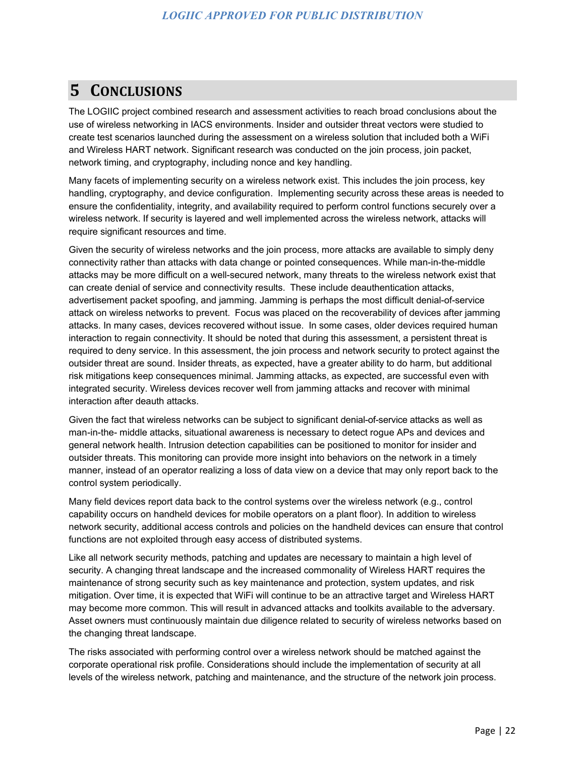# **5 CONCLUSIONS**

The LOGIIC project combined research and assessment activities to reach broad conclusions about the use of wireless networking in IACS environments. Insider and outsider threat vectors were studied to create test scenarios launched during the assessment on a wireless solution that included both a WiFi and Wireless HART network. Significant research was conducted on the join process, join packet, network timing, and cryptography, including nonce and key handling.

Many facets of implementing security on a wireless network exist. This includes the join process, key handling, cryptography, and device configuration. Implementing security across these areas is needed to ensure the confidentiality, integrity, and availability required to perform control functions securely over a wireless network. If security is layered and well implemented across the wireless network, attacks will require significant resources and time.

Given the security of wireless networks and the join process, more attacks are available to simply deny connectivity rather than attacks with data change or pointed consequences. While man-in-the-middle attacks may be more difficult on a well-secured network, many threats to the wireless network exist that can create denial of service and connectivity results. These include deauthentication attacks, advertisement packet spoofing, and jamming. Jamming is perhaps the most difficult denial-of-service attack on wireless networks to prevent. Focus was placed on the recoverability of devices after jamming attacks. In many cases, devices recovered without issue. In some cases, older devices required human interaction to regain connectivity. It should be noted that during this assessment, a persistent threat is required to deny service. In this assessment, the join process and network security to protect against the outsider threat are sound. Insider threats, as expected, have a greater ability to do harm, but additional risk mitigations keep consequences minimal. Jamming attacks, as expected, are successful even with integrated security. Wireless devices recover well from jamming attacks and recover with minimal interaction after deauth attacks.

Given the fact that wireless networks can be subject to significant denial-of-service attacks as well as man-in-the- middle attacks, situational awareness is necessary to detect rogue APs and devices and general network health. Intrusion detection capabilities can be positioned to monitor for insider and outsider threats. This monitoring can provide more insight into behaviors on the network in a timely manner, instead of an operator realizing a loss of data view on a device that may only report back to the control system periodically.

Many field devices report data back to the control systems over the wireless network (e.g., control capability occurs on handheld devices for mobile operators on a plant floor). In addition to wireless network security, additional access controls and policies on the handheld devices can ensure that control functions are not exploited through easy access of distributed systems.

Like all network security methods, patching and updates are necessary to maintain a high level of security. A changing threat landscape and the increased commonality of Wireless HART requires the maintenance of strong security such as key maintenance and protection, system updates, and risk mitigation. Over time, it is expected that WiFi will continue to be an attractive target and Wireless HART may become more common. This will result in advanced attacks and toolkits available to the adversary. Asset owners must continuously maintain due diligence related to security of wireless networks based on the changing threat landscape.

The risks associated with performing control over a wireless network should be matched against the corporate operational risk profile. Considerations should include the implementation of security at all levels of the wireless network, patching and maintenance, and the structure of the network join process.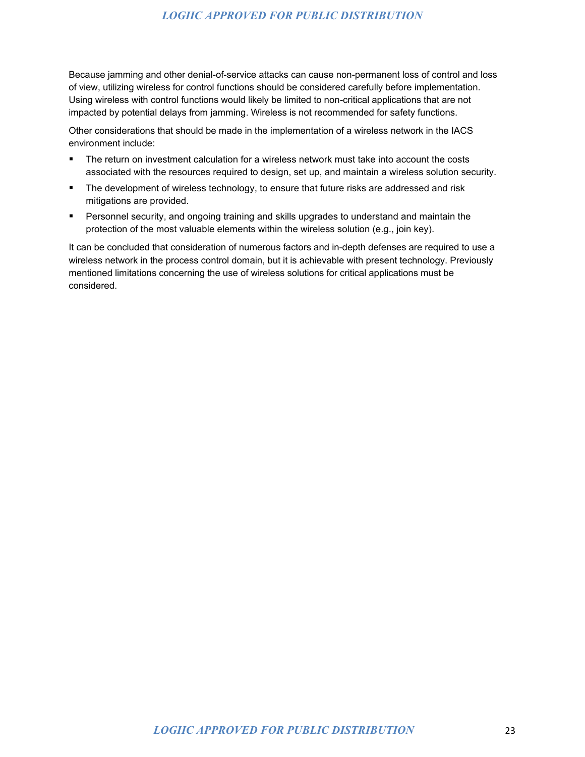Because jamming and other denial-of-service attacks can cause non-permanent loss of control and loss of view, utilizing wireless for control functions should be considered carefully before implementation. Using wireless with control functions would likely be limited to non-critical applications that are not impacted by potential delays from jamming. Wireless is not recommended for safety functions.

Other considerations that should be made in the implementation of a wireless network in the IACS environment include:

- The return on investment calculation for a wireless network must take into account the costs associated with the resources required to design, set up, and maintain a wireless solution security.
- **The development of wireless technology, to ensure that future risks are addressed and risk** mitigations are provided.
- **Personnel security, and ongoing training and skills upgrades to understand and maintain the** protection of the most valuable elements within the wireless solution (e.g., join key).

It can be concluded that consideration of numerous factors and in-depth defenses are required to use a wireless network in the process control domain, but it is achievable with present technology. Previously mentioned limitations concerning the use of wireless solutions for critical applications must be considered.